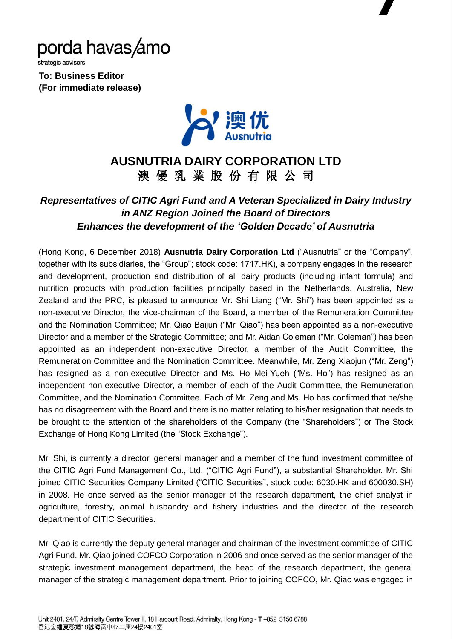

strategic advisors

**To: Business Editor (For immediate release)**



## **AUSNUTRIA DAIRY CORPORATION LTD** 澳 優 乳 業 股 份 有 限 公 司

### *Representatives of CITIC Agri Fund and A Veteran Specialized in Dairy Industry in ANZ Region Joined the Board of Directors Enhances the development of the 'Golden Decade' of Ausnutria*

(Hong Kong, 6 December 2018) **Ausnutria Dairy Corporation Ltd** ("Ausnutria" or the "Company", together with its subsidiaries, the "Group"; stock code: 1717.HK), a company engages in the research and development, production and distribution of all dairy products (including infant formula) and nutrition products with production facilities principally based in the Netherlands, Australia, New Zealand and the PRC, is pleased to announce Mr. Shi Liang ("Mr. Shi") has been appointed as a non-executive Director, the vice-chairman of the Board, a member of the Remuneration Committee and the Nomination Committee; Mr. Qiao Baijun ("Mr. Qiao") has been appointed as a non-executive Director and a member of the Strategic Committee; and Mr. Aidan Coleman ("Mr. Coleman") has been appointed as an independent non-executive Director, a member of the Audit Committee, the Remuneration Committee and the Nomination Committee. Meanwhile, Mr. Zeng Xiaojun ("Mr. Zeng") has resigned as a non-executive Director and Ms. Ho Mei-Yueh ("Ms. Ho") has resigned as an independent non-executive Director, a member of each of the Audit Committee, the Remuneration Committee, and the Nomination Committee. Each of Mr. Zeng and Ms. Ho has confirmed that he/she has no disagreement with the Board and there is no matter relating to his/her resignation that needs to be brought to the attention of the shareholders of the Company (the "Shareholders") or The Stock Exchange of Hong Kong Limited (the "Stock Exchange").

Mr. Shi, is currently a director, general manager and a member of the fund investment committee of the CITIC Agri Fund Management Co., Ltd. ("CITIC Agri Fund"), a substantial Shareholder. Mr. Shi joined CITIC Securities Company Limited ("CITIC Securities", stock code: 6030.HK and 600030.SH) in 2008. He once served as the senior manager of the research department, the chief analyst in agriculture, forestry, animal husbandry and fishery industries and the director of the research department of CITIC Securities.

Mr. Qiao is currently the deputy general manager and chairman of the investment committee of CITIC Agri Fund. Mr. Qiao joined COFCO Corporation in 2006 and once served as the senior manager of the strategic investment management department, the head of the research department, the general manager of the strategic management department. Prior to joining COFCO, Mr. Qiao was engaged in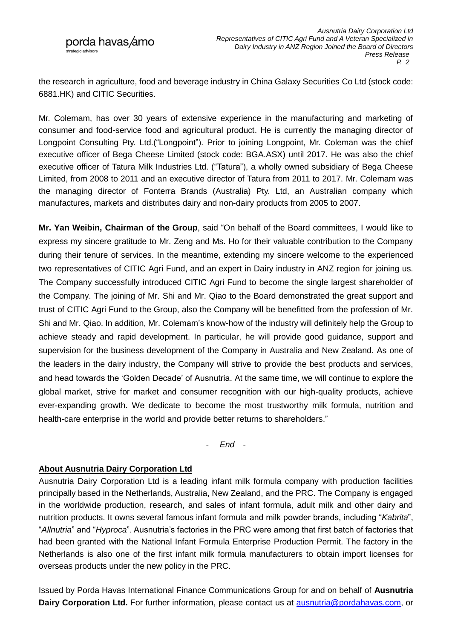the research in agriculture, food and beverage industry in China Galaxy Securities Co Ltd (stock code: 6881.HK) and CITIC Securities.

Mr. Colemam, has over 30 years of extensive experience in the manufacturing and marketing of consumer and food-service food and agricultural product. He is currently the managing director of Longpoint Consulting Pty. Ltd.("Longpoint"). Prior to joining Longpoint, Mr. Coleman was the chief executive officer of Bega Cheese Limited (stock code: BGA.ASX) until 2017. He was also the chief executive officer of Tatura Milk Industries Ltd. ("Tatura"), a wholly owned subsidiary of Bega Cheese Limited, from 2008 to 2011 and an executive director of Tatura from 2011 to 2017. Mr. Colemam was the managing director of Fonterra Brands (Australia) Pty. Ltd, an Australian company which manufactures, markets and distributes dairy and non-dairy products from 2005 to 2007.

**Mr. Yan Weibin, Chairman of the Group**, said "On behalf of the Board committees, I would like to express my sincere gratitude to Mr. Zeng and Ms. Ho for their valuable contribution to the Company during their tenure of services. In the meantime, extending my sincere welcome to the experienced two representatives of CITIC Agri Fund, and an expert in Dairy industry in ANZ region for joining us. The Company successfully introduced CITIC Agri Fund to become the single largest shareholder of the Company. The joining of Mr. Shi and Mr. Qiao to the Board demonstrated the great support and trust of CITIC Agri Fund to the Group, also the Company will be benefitted from the profession of Mr. Shi and Mr. Qiao. In addition, Mr. Colemam's know-how of the industry will definitely help the Group to achieve steady and rapid development. In particular, he will provide good guidance, support and supervision for the business development of the Company in Australia and New Zealand. As one of the leaders in the dairy industry, the Company will strive to provide the best products and services, and head towards the 'Golden Decade' of Ausnutria. At the same time, we will continue to explore the global market, strive for market and consumer recognition with our high-quality products, achieve ever-expanding growth. We dedicate to become the most trustworthy milk formula, nutrition and health-care enterprise in the world and provide better returns to shareholders."

- *End -*

#### **About Ausnutria Dairy Corporation Ltd**

Ausnutria Dairy Corporation Ltd is a leading infant milk formula company with production facilities principally based in the Netherlands, Australia, New Zealand, and the PRC. The Company is engaged in the worldwide production, research, and sales of infant formula, adult milk and other dairy and nutrition products. It owns several famous infant formula and milk powder brands, including "*Kabrita*", "*Allnutria*" and "*Hyproca*". Ausnutria's factories in the PRC were among that first batch of factories that had been granted with the National Infant Formula Enterprise Production Permit. The factory in the Netherlands is also one of the first infant milk formula manufacturers to obtain import licenses for overseas products under the new policy in the PRC.

Issued by Porda Havas International Finance Communications Group for and on behalf of **Ausnutria Dairy Corporation Ltd.** For further information, please contact us at [ausnutria@pordahavas.com,](mailto:porda_ausnutria@pordahavas.com) or